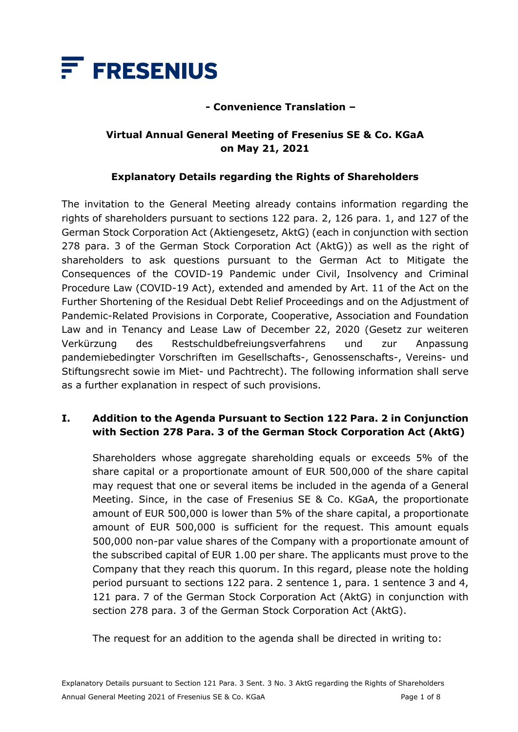

### **- Convenience Translation –**

## **Virtual Annual General Meeting of Fresenius SE & Co. KGaA on May 21, 2021**

### **Explanatory Details regarding the Rights of Shareholders**

The invitation to the General Meeting already contains information regarding the rights of shareholders pursuant to sections 122 para. 2, 126 para. 1, and 127 of the German Stock Corporation Act (Aktiengesetz, AktG) (each in conjunction with section 278 para. 3 of the German Stock Corporation Act (AktG)) as well as the right of shareholders to ask questions pursuant to the German Act to Mitigate the Consequences of the COVID-19 Pandemic under Civil, Insolvency and Criminal Procedure Law (COVID-19 Act), extended and amended by Art. 11 of the Act on the Further Shortening of the Residual Debt Relief Proceedings and on the Adjustment of Pandemic-Related Provisions in Corporate, Cooperative, Association and Foundation Law and in Tenancy and Lease Law of December 22, 2020 (Gesetz zur weiteren Verkürzung des Restschuldbefreiungsverfahrens und zur Anpassung pandemiebedingter Vorschriften im Gesellschafts-, Genossenschafts-, Vereins- und Stiftungsrecht sowie im Miet- und Pachtrecht). The following information shall serve as a further explanation in respect of such provisions.

## **I. Addition to the Agenda Pursuant to Section 122 Para. 2 in Conjunction with Section 278 Para. 3 of the German Stock Corporation Act (AktG)**

Shareholders whose aggregate shareholding equals or exceeds 5% of the share capital or a proportionate amount of EUR 500,000 of the share capital may request that one or several items be included in the agenda of a General Meeting. Since, in the case of Fresenius SE & Co. KGaA, the proportionate amount of EUR 500,000 is lower than 5% of the share capital, a proportionate amount of EUR 500,000 is sufficient for the request. This amount equals 500,000 non-par value shares of the Company with a proportionate amount of the subscribed capital of EUR 1.00 per share. The applicants must prove to the Company that they reach this quorum. In this regard, please note the holding period pursuant to sections 122 para. 2 sentence 1, para. 1 sentence 3 and 4, 121 para. 7 of the German Stock Corporation Act (AktG) in conjunction with section 278 para. 3 of the German Stock Corporation Act (AktG).

The request for an addition to the agenda shall be directed in writing to: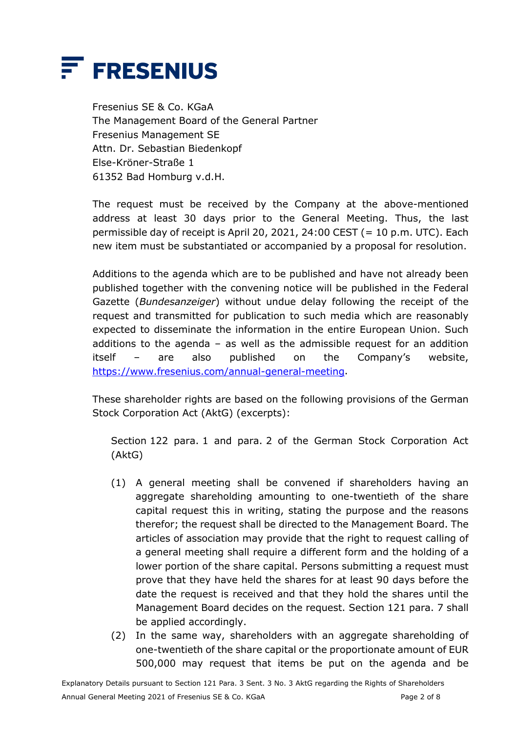

Fresenius SE & Co. KGaA The Management Board of the General Partner Fresenius Management SE Attn. Dr. Sebastian Biedenkopf Else-Kröner-Straße 1 61352 Bad Homburg v.d.H.

The request must be received by the Company at the above-mentioned address at least 30 days prior to the General Meeting. Thus, the last permissible day of receipt is April 20, 2021, 24:00 CEST (= 10 p.m. UTC). Each new item must be substantiated or accompanied by a proposal for resolution.

Additions to the agenda which are to be published and have not already been published together with the convening notice will be published in the Federal Gazette (*Bundesanzeiger*) without undue delay following the receipt of the request and transmitted for publication to such media which are reasonably expected to disseminate the information in the entire European Union. Such additions to the agenda  $-$  as well as the admissible request for an addition itself – are also published on the Company's website, [https://www.fresenius.com/annual-general-meeting.](https://www.fresenius.com/annual-general-meeting)

These shareholder rights are based on the following provisions of the German Stock Corporation Act (AktG) (excerpts):

Section 122 para. 1 and para. 2 of the German Stock Corporation Act (AktG)

- (1) A general meeting shall be convened if shareholders having an aggregate shareholding amounting to one-twentieth of the share capital request this in writing, stating the purpose and the reasons therefor; the request shall be directed to the Management Board. The articles of association may provide that the right to request calling of a general meeting shall require a different form and the holding of a lower portion of the share capital. Persons submitting a request must prove that they have held the shares for at least 90 days before the date the request is received and that they hold the shares until the Management Board decides on the request. Section 121 para. 7 shall be applied accordingly.
- (2) In the same way, shareholders with an aggregate shareholding of one-twentieth of the share capital or the proportionate amount of EUR 500,000 may request that items be put on the agenda and be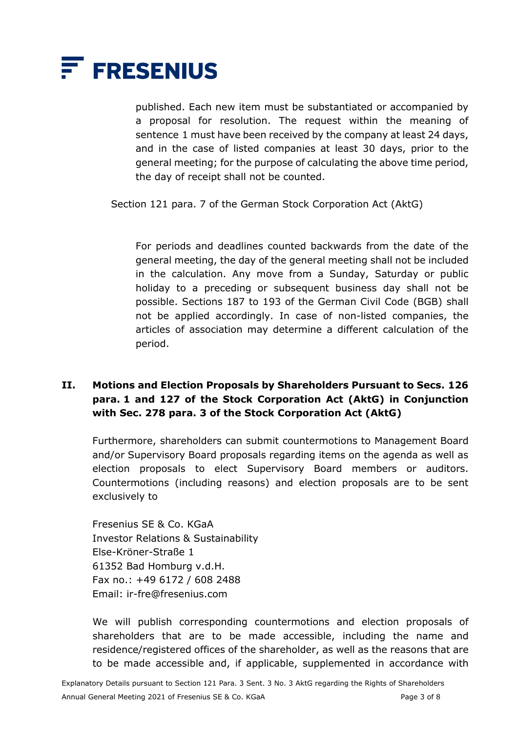

published. Each new item must be substantiated or accompanied by a proposal for resolution. The request within the meaning of sentence 1 must have been received by the company at least 24 days, and in the case of listed companies at least 30 days, prior to the general meeting; for the purpose of calculating the above time period, the day of receipt shall not be counted.

Section 121 para. 7 of the German Stock Corporation Act (AktG)

For periods and deadlines counted backwards from the date of the general meeting, the day of the general meeting shall not be included in the calculation. Any move from a Sunday, Saturday or public holiday to a preceding or subsequent business day shall not be possible. Sections 187 to 193 of the German Civil Code (BGB) shall not be applied accordingly. In case of non-listed companies, the articles of association may determine a different calculation of the period.

## **II. Motions and Election Proposals by Shareholders Pursuant to Secs. 126 para. 1 and 127 of the Stock Corporation Act (AktG) in Conjunction with Sec. 278 para. 3 of the Stock Corporation Act (AktG)**

Furthermore, shareholders can submit countermotions to Management Board and/or Supervisory Board proposals regarding items on the agenda as well as election proposals to elect Supervisory Board members or auditors. Countermotions (including reasons) and election proposals are to be sent exclusively to

Fresenius SE & Co. KGaA Investor Relations & Sustainability Else-Kröner-Straße 1 61352 Bad Homburg v.d.H. Fax no.: +49 6172 / 608 2488 Email: ir-fre@fresenius.com

We will publish corresponding countermotions and election proposals of shareholders that are to be made accessible, including the name and residence/registered offices of the shareholder, as well as the reasons that are to be made accessible and, if applicable, supplemented in accordance with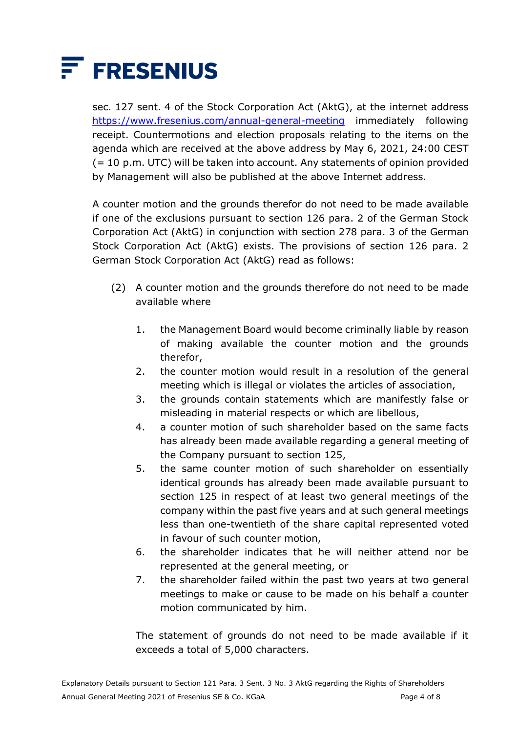

sec. 127 sent. 4 of the Stock Corporation Act (AktG), at the internet address <https://www.fresenius.com/annual-general-meeting> immediately following receipt. Countermotions and election proposals relating to the items on the agenda which are received at the above address by May 6, 2021, 24:00 CEST (= 10 p.m. UTC) will be taken into account. Any statements of opinion provided by Management will also be published at the above Internet address.

A counter motion and the grounds therefor do not need to be made available if one of the exclusions pursuant to section 126 para. 2 of the German Stock Corporation Act (AktG) in conjunction with section 278 para. 3 of the German Stock Corporation Act (AktG) exists. The provisions of section 126 para. 2 German Stock Corporation Act (AktG) read as follows:

- (2) A counter motion and the grounds therefore do not need to be made available where
	- 1. the Management Board would become criminally liable by reason of making available the counter motion and the grounds therefor,
	- 2. the counter motion would result in a resolution of the general meeting which is illegal or violates the articles of association,
	- 3. the grounds contain statements which are manifestly false or misleading in material respects or which are libellous,
	- 4. a counter motion of such shareholder based on the same facts has already been made available regarding a general meeting of the Company pursuant to section 125,
	- 5. the same counter motion of such shareholder on essentially identical grounds has already been made available pursuant to section 125 in respect of at least two general meetings of the company within the past five years and at such general meetings less than one-twentieth of the share capital represented voted in favour of such counter motion,
	- 6. the shareholder indicates that he will neither attend nor be represented at the general meeting, or
	- 7. the shareholder failed within the past two years at two general meetings to make or cause to be made on his behalf a counter motion communicated by him.

The statement of grounds do not need to be made available if it exceeds a total of 5,000 characters.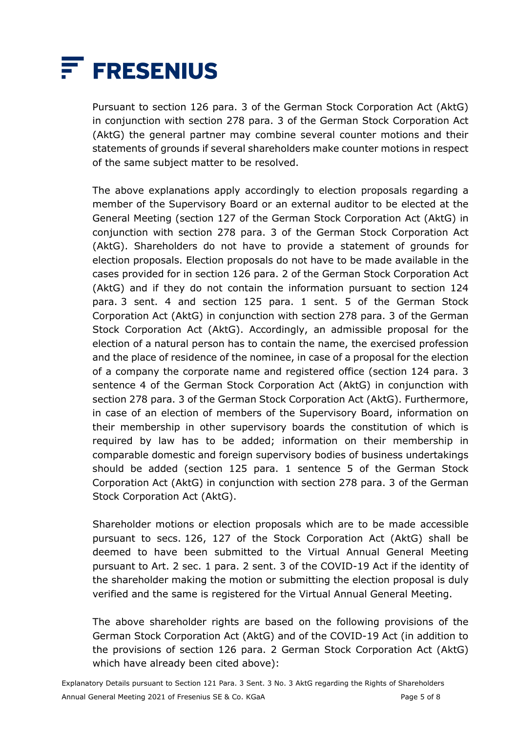

Pursuant to section 126 para. 3 of the German Stock Corporation Act (AktG) in conjunction with section 278 para. 3 of the German Stock Corporation Act (AktG) the general partner may combine several counter motions and their statements of grounds if several shareholders make counter motions in respect of the same subject matter to be resolved.

The above explanations apply accordingly to election proposals regarding a member of the Supervisory Board or an external auditor to be elected at the General Meeting (section 127 of the German Stock Corporation Act (AktG) in conjunction with section 278 para. 3 of the German Stock Corporation Act (AktG). Shareholders do not have to provide a statement of grounds for election proposals. Election proposals do not have to be made available in the cases provided for in section 126 para. 2 of the German Stock Corporation Act (AktG) and if they do not contain the information pursuant to section 124 para. 3 sent. 4 and section 125 para. 1 sent. 5 of the German Stock Corporation Act (AktG) in conjunction with section 278 para. 3 of the German Stock Corporation Act (AktG). Accordingly, an admissible proposal for the election of a natural person has to contain the name, the exercised profession and the place of residence of the nominee, in case of a proposal for the election of a company the corporate name and registered office (section 124 para. 3 sentence 4 of the German Stock Corporation Act (AktG) in conjunction with section 278 para. 3 of the German Stock Corporation Act (AktG). Furthermore, in case of an election of members of the Supervisory Board, information on their membership in other supervisory boards the constitution of which is required by law has to be added; information on their membership in comparable domestic and foreign supervisory bodies of business undertakings should be added (section 125 para. 1 sentence 5 of the German Stock Corporation Act (AktG) in conjunction with section 278 para. 3 of the German Stock Corporation Act (AktG).

Shareholder motions or election proposals which are to be made accessible pursuant to secs. 126, 127 of the Stock Corporation Act (AktG) shall be deemed to have been submitted to the Virtual Annual General Meeting pursuant to Art. 2 sec. 1 para. 2 sent. 3 of the COVID-19 Act if the identity of the shareholder making the motion or submitting the election proposal is duly verified and the same is registered for the Virtual Annual General Meeting.

The above shareholder rights are based on the following provisions of the German Stock Corporation Act (AktG) and of the COVID-19 Act (in addition to the provisions of section 126 para. 2 German Stock Corporation Act (AktG) which have already been cited above):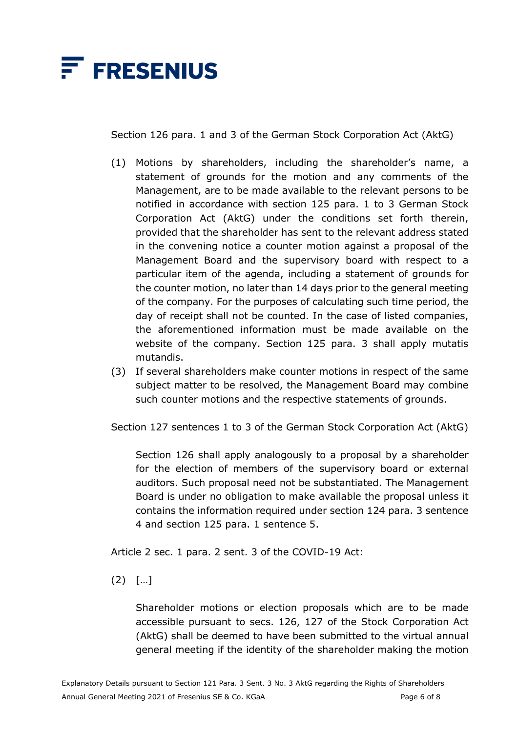

Section 126 para. 1 and 3 of the German Stock Corporation Act (AktG)

- (1) Motions by shareholders, including the shareholder's name, a statement of grounds for the motion and any comments of the Management, are to be made available to the relevant persons to be notified in accordance with section 125 para. 1 to 3 German Stock Corporation Act (AktG) under the conditions set forth therein, provided that the shareholder has sent to the relevant address stated in the convening notice a counter motion against a proposal of the Management Board and the supervisory board with respect to a particular item of the agenda, including a statement of grounds for the counter motion, no later than 14 days prior to the general meeting of the company. For the purposes of calculating such time period, the day of receipt shall not be counted. In the case of listed companies, the aforementioned information must be made available on the website of the company. Section 125 para. 3 shall apply mutatis mutandis.
- (3) If several shareholders make counter motions in respect of the same subject matter to be resolved, the Management Board may combine such counter motions and the respective statements of grounds.

Section 127 sentences 1 to 3 of the German Stock Corporation Act (AktG)

Section 126 shall apply analogously to a proposal by a shareholder for the election of members of the supervisory board or external auditors. Such proposal need not be substantiated. The Management Board is under no obligation to make available the proposal unless it contains the information required under section 124 para. 3 sentence 4 and section 125 para. 1 sentence 5.

Article 2 sec. 1 para. 2 sent. 3 of the COVID-19 Act:

(2) […]

Shareholder motions or election proposals which are to be made accessible pursuant to secs. 126, 127 of the Stock Corporation Act (AktG) shall be deemed to have been submitted to the virtual annual general meeting if the identity of the shareholder making the motion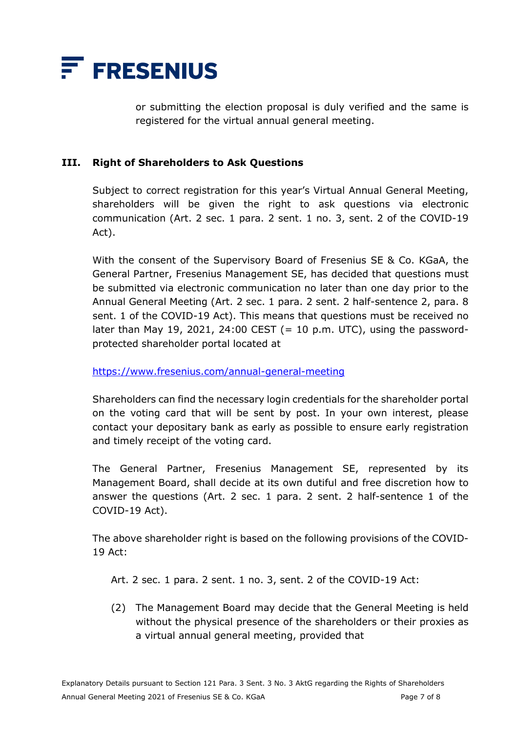

or submitting the election proposal is duly verified and the same is registered for the virtual annual general meeting.

#### **III. Right of Shareholders to Ask Questions**

Subject to correct registration for this year's Virtual Annual General Meeting, shareholders will be given the right to ask questions via electronic communication (Art. 2 sec. 1 para. 2 sent. 1 no. 3, sent. 2 of the COVID-19 Act).

With the consent of the Supervisory Board of Fresenius SE & Co. KGaA, the General Partner, Fresenius Management SE, has decided that questions must be submitted via electronic communication no later than one day prior to the Annual General Meeting (Art. 2 sec. 1 para. 2 sent. 2 half-sentence 2, para. 8 sent. 1 of the COVID-19 Act). This means that questions must be received no later than May 19, 2021, 24:00 CEST  $(= 10 \text{ p.m. } UTC)$ , using the passwordprotected shareholder portal located at

<https://www.fresenius.com/annual-general-meeting>

Shareholders can find the necessary login credentials for the shareholder portal on the voting card that will be sent by post. In your own interest, please contact your depositary bank as early as possible to ensure early registration and timely receipt of the voting card.

The General Partner, Fresenius Management SE, represented by its Management Board, shall decide at its own dutiful and free discretion how to answer the questions (Art. 2 sec. 1 para. 2 sent. 2 half-sentence 1 of the COVID-19 Act).

The above shareholder right is based on the following provisions of the COVID-19 Act:

Art. 2 sec. 1 para. 2 sent. 1 no. 3, sent. 2 of the COVID-19 Act:

(2) The Management Board may decide that the General Meeting is held without the physical presence of the shareholders or their proxies as a virtual annual general meeting, provided that